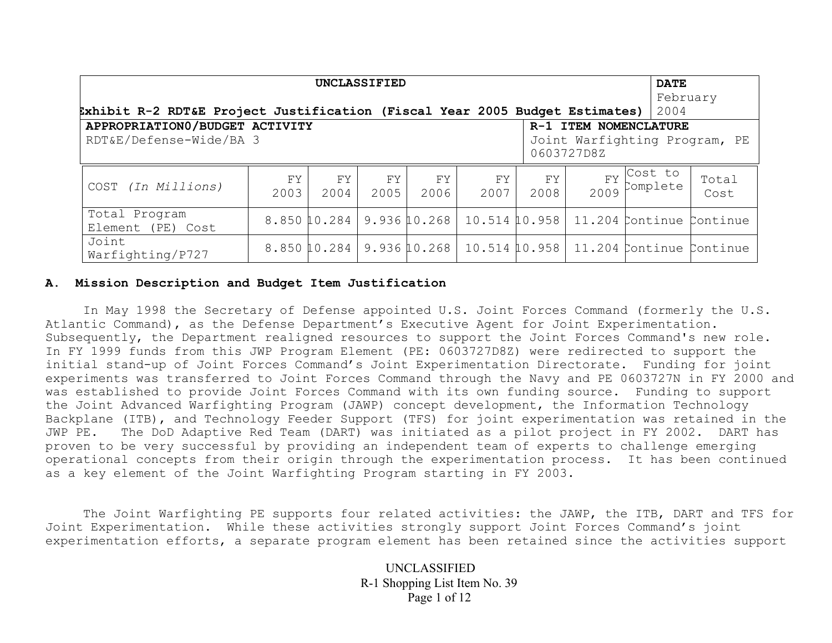| <b>UNCLASSIFIED</b>                                                         |             |            |            |                           |            |            |  | <b>DATE</b>                                                                                                         |                                                                        |
|-----------------------------------------------------------------------------|-------------|------------|------------|---------------------------|------------|------------|--|---------------------------------------------------------------------------------------------------------------------|------------------------------------------------------------------------|
|                                                                             |             |            |            |                           |            |            |  | February                                                                                                            |                                                                        |
| Exhibit R-2 RDT&E Project Justification (Fiscal Year 2005 Budget Estimates) |             |            |            |                           |            |            |  | 2004                                                                                                                |                                                                        |
| APPROPRIATION0/BUDGET ACTIVITY                                              |             |            |            |                           |            |            |  | R-1 ITEM NOMENCLATURE                                                                                               |                                                                        |
| RDT&E/Defense-Wide/BA 3<br>Joint Warfighting Program, PE<br>0603727D8Z      |             |            |            |                           |            |            |  |                                                                                                                     |                                                                        |
| COST (In Millions)                                                          | FY.<br>2003 | FY<br>2004 | FY<br>2005 | FΥ<br>2006                | FY<br>2007 | FY<br>2008 |  | $\begin{array}{c} \n\text{FY} \n\end{array} \begin{array}{c} \n\text{Cost} \nto \\ \n\text{Complete} \n\end{array}$ | Total<br>Cost                                                          |
| Total Program<br>Element (PE) Cost                                          |             |            |            | 8.850 10.284 9.936 10.268 |            |            |  |                                                                                                                     | 10.514 10.958   11.204 Continue Continue                               |
| Joint<br>Warfighting/P727                                                   |             |            |            |                           |            |            |  |                                                                                                                     | 8.850 10.284   9.936 10.268   10.514 10.958   11.204 Continue Continue |

#### **A. Mission Description and Budget Item Justification**

 In May 1998 the Secretary of Defense appointed U.S. Joint Forces Command (formerly the U.S. Atlantic Command), as the Defense Department's Executive Agent for Joint Experimentation. Subsequently, the Department realigned resources to support the Joint Forces Command's new role. In FY 1999 funds from this JWP Program Element (PE: 0603727D8Z) were redirected to support the initial stand-up of Joint Forces Command's Joint Experimentation Directorate. Funding for joint experiments was transferred to Joint Forces Command through the Navy and PE 0603727N in FY 2000 and was established to provide Joint Forces Command with its own funding source. Funding to support the Joint Advanced Warfighting Program (JAWP) concept development, the Information Technology Backplane (ITB), and Technology Feeder Support (TFS) for joint experimentation was retained in the JWP PE. The DoD Adaptive Red Team (DART) was initiated as a pilot project in FY 2002. DART has proven to be very successful by providing an independent team of experts to challenge emerging operational concepts from their origin through the experimentation process. It has been continued as a key element of the Joint Warfighting Program starting in FY 2003.

 The Joint Warfighting PE supports four related activities: the JAWP, the ITB, DART and TFS for Joint Experimentation. While these activities strongly support Joint Forces Command's joint experimentation efforts, a separate program element has been retained since the activities support

> UNCLASSIFIED R-1 Shopping List Item No. 39 Page 1 of 12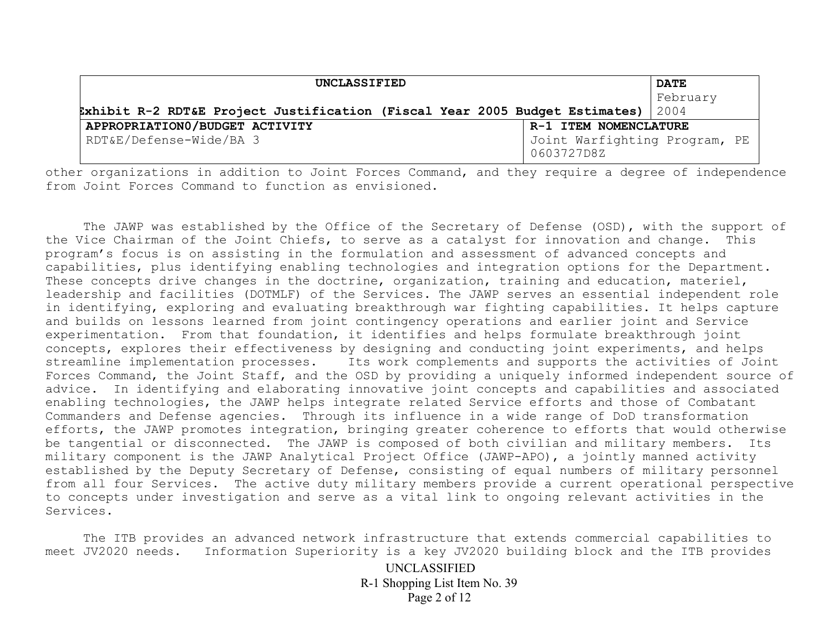| UNCLASSIFIED                                                                     |                                             | <b>DATE</b> |
|----------------------------------------------------------------------------------|---------------------------------------------|-------------|
|                                                                                  |                                             | February    |
| Exhibit R-2 RDT&E Project Justification (Fiscal Year 2005 Budget Estimates) 2004 |                                             |             |
| APPROPRIATION0/BUDGET ACTIVITY                                                   | R-1 ITEM NOMENCLATURE                       |             |
| RDT&E/Defense-Wide/BA 3                                                          | Joint Warfighting Program, PE<br>0603727D8Z |             |

other organizations in addition to Joint Forces Command, and they require a degree of independence from Joint Forces Command to function as envisioned.

The JAWP was established by the Office of the Secretary of Defense (OSD), with the support of the Vice Chairman of the Joint Chiefs, to serve as a catalyst for innovation and change. This program's focus is on assisting in the formulation and assessment of advanced concepts and capabilities, plus identifying enabling technologies and integration options for the Department. These concepts drive changes in the doctrine, organization, training and education, materiel, leadership and facilities (DOTMLF) of the Services. The JAWP serves an essential independent role in identifying, exploring and evaluating breakthrough war fighting capabilities. It helps capture and builds on lessons learned from joint contingency operations and earlier joint and Service experimentation. From that foundation, it identifies and helps formulate breakthrough joint concepts, explores their effectiveness by designing and conducting joint experiments, and helps streamline implementation processes. Its work complements and supports the activities of Joint Forces Command, the Joint Staff, and the OSD by providing a uniquely informed independent source of advice. In identifying and elaborating innovative joint concepts and capabilities and associated enabling technologies, the JAWP helps integrate related Service efforts and those of Combatant Commanders and Defense agencies. Through its influence in a wide range of DoD transformation efforts, the JAWP promotes integration, bringing greater coherence to efforts that would otherwise be tangential or disconnected. The JAWP is composed of both civilian and military members. Its military component is the JAWP Analytical Project Office (JAWP-APO), a jointly manned activity established by the Deputy Secretary of Defense, consisting of equal numbers of military personnel from all four Services. The active duty military members provide a current operational perspective to concepts under investigation and serve as a vital link to ongoing relevant activities in the Services.

 The ITB provides an advanced network infrastructure that extends commercial capabilities to meet JV2020 needs. Information Superiority is a key JV2020 building block and the ITB provides

> UNCLASSIFIED R-1 Shopping List Item No. 39 Page 2 of 12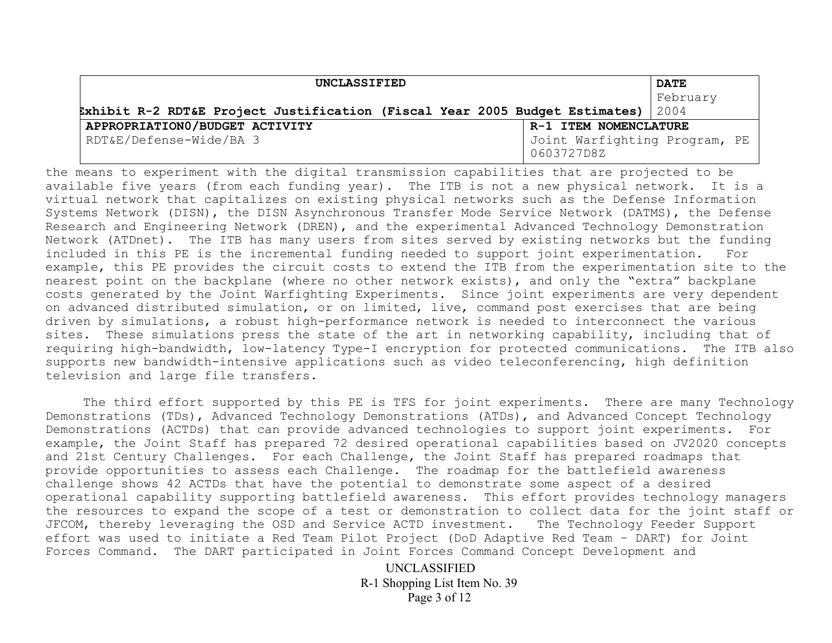| UNCLASSIFIED                                                                     |                                             | <b>DATE</b> |
|----------------------------------------------------------------------------------|---------------------------------------------|-------------|
|                                                                                  |                                             | February    |
| Exhibit R-2 RDT&E Project Justification (Fiscal Year 2005 Budget Estimates) 2004 |                                             |             |
| APPROPRIATION0/BUDGET ACTIVITY                                                   | R-1 ITEM NOMENCLATURE                       |             |
| RDT&E/Defense-Wide/BA 3                                                          | Joint Warfighting Program, PE<br>0603727D8Z |             |

the means to experiment with the digital transmission capabilities that are projected to be available five years (from each funding year). The ITB is not a new physical network. It is a virtual network that capitalizes on existing physical networks such as the Defense Information Systems Network (DISN), the DISN Asynchronous Transfer Mode Service Network (DATMS), the Defense Research and Engineering Network (DREN), and the experimental Advanced Technology Demonstration Network (ATDnet). The ITB has many users from sites served by existing networks but the funding included in this PE is the incremental funding needed to support joint experimentation. For example, this PE provides the circuit costs to extend the ITB from the experimentation site to the nearest point on the backplane (where no other network exists), and only the "extra" backplane costs generated by the Joint Warfighting Experiments. Since joint experiments are very dependent on advanced distributed simulation, or on limited, live, command post exercises that are being driven by simulations, a robust high-performance network is needed to interconnect the various sites. These simulations press the state of the art in networking capability, including that of requiring high-bandwidth, low-latency Type-I encryption for protected communications. The ITB also supports new bandwidth-intensive applications such as video teleconferencing, high definition television and large file transfers.

The third effort supported by this PE is TFS for joint experiments. There are many Technology Demonstrations (TDs), Advanced Technology Demonstrations (ATDs), and Advanced Concept Technology Demonstrations (ACTDs) that can provide advanced technologies to support joint experiments. For example, the Joint Staff has prepared 72 desired operational capabilities based on JV2020 concepts and 21st Century Challenges. For each Challenge, the Joint Staff has prepared roadmaps that provide opportunities to assess each Challenge. The roadmap for the battlefield awareness challenge shows 42 ACTDs that have the potential to demonstrate some aspect of a desired operational capability supporting battlefield awareness. This effort provides technology managers the resources to expand the scope of a test or demonstration to collect data for the joint staff or JFCOM, thereby leveraging the OSD and Service ACTD investment. The Technology Feeder Support effort was used to initiate a Red Team Pilot Project (DoD Adaptive Red Team – DART) for Joint Forces Command. The DART participated in Joint Forces Command Concept Development and

> UNCLASSIFIED R-1 Shopping List Item No. 39 Page 3 of 12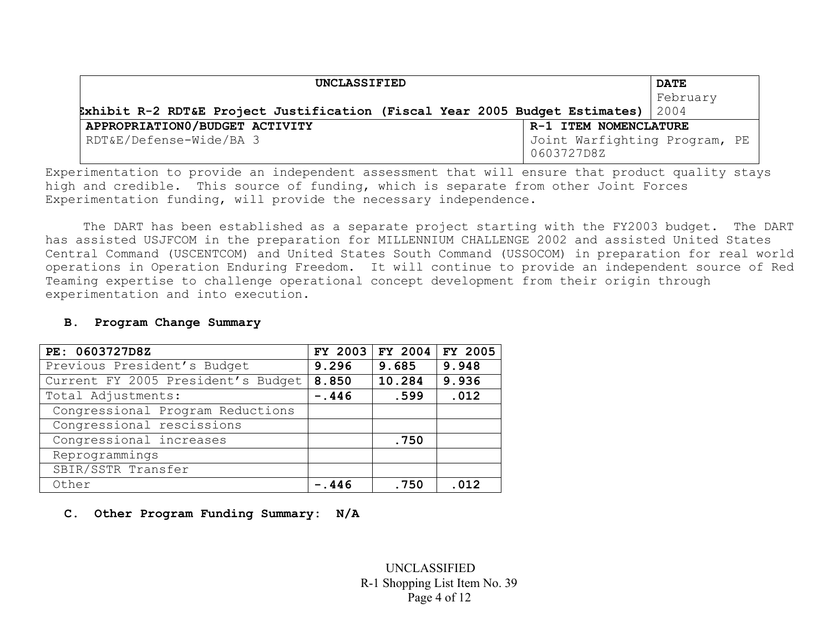| UNCLASSIFIED                                                                     |                                             | <b>DATE</b> |
|----------------------------------------------------------------------------------|---------------------------------------------|-------------|
|                                                                                  |                                             | February    |
| Exhibit R-2 RDT&E Project Justification (Fiscal Year 2005 Budget Estimates) 2004 |                                             |             |
| APPROPRIATION0/BUDGET ACTIVITY                                                   | R-1 ITEM NOMENCLATURE                       |             |
| RDT&E/Defense-Wide/BA 3                                                          | Joint Warfighting Program, PE<br>0603727D8Z |             |

Experimentation to provide an independent assessment that will ensure that product quality stays high and credible. This source of funding, which is separate from other Joint Forces Experimentation funding, will provide the necessary independence.

 The DART has been established as a separate project starting with the FY2003 budget. The DART has assisted USJFCOM in the preparation for MILLENNIUM CHALLENGE 2002 and assisted United States Central Command (USCENTCOM) and United States South Command (USSOCOM) in preparation for real world operations in Operation Enduring Freedom. It will continue to provide an independent source of Red Teaming expertise to challenge operational concept development from their origin through experimentation and into execution.

| PE: 0603727D8Z                     | FY 2003 | FY 2004 | FY 2005 |
|------------------------------------|---------|---------|---------|
| Previous President's Budget        | 9.296   | 9.685   | 9.948   |
| Current FY 2005 President's Budget | 8.850   | 10.284  | 9.936   |
| Total Adjustments:                 | $-.446$ | .599    | .012    |
| Congressional Program Reductions   |         |         |         |
| Congressional rescissions          |         |         |         |
| Congressional increases            |         | .750    |         |
| Reprogrammings                     |         |         |         |
| SBIR/SSTR Transfer                 |         |         |         |
| Other                              | -.446   | .750    | .012    |

## **B. Program Change Summary**

# **C. Other Program Funding Summary: N/A**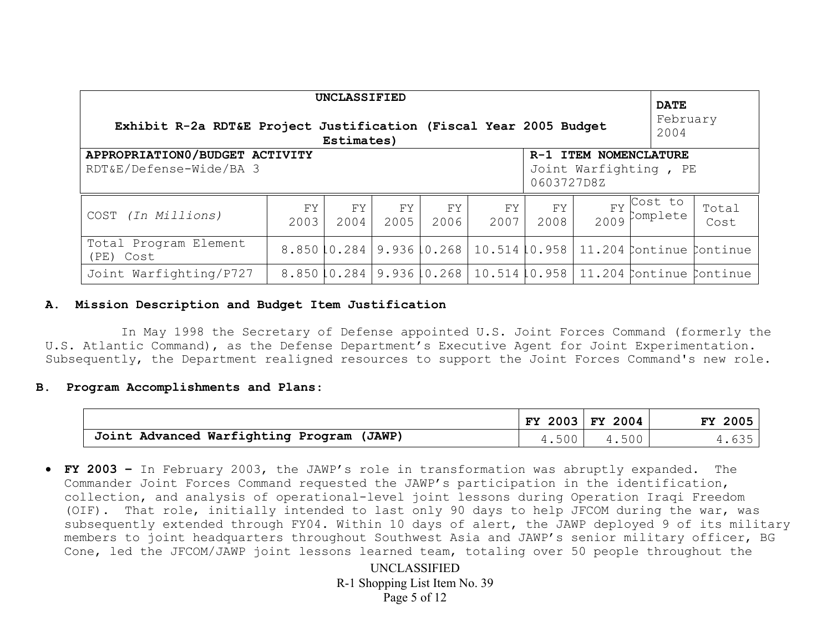| UNCLASSIFIED<br><b>DATE</b>                                                                                               |            |              |            |             |                            |            |                   |                                                        |               |
|---------------------------------------------------------------------------------------------------------------------------|------------|--------------|------------|-------------|----------------------------|------------|-------------------|--------------------------------------------------------|---------------|
| Exhibit R-2a RDT&E Project Justification (Fiscal Year 2005 Budget                                                         |            | Estimates)   |            |             |                            |            |                   | February<br>2004                                       |               |
| APPROPRIATION0/BUDGET ACTIVITY<br>R-1 ITEM NOMENCLATURE<br>RDT&E/Defense-Wide/BA 3<br>Joint Warfighting, PE<br>0603727D8Z |            |              |            |             |                            |            |                   |                                                        |               |
| COST (In Millions)                                                                                                        | FY<br>2003 | FY.<br>2004  | FY<br>2005 | FY.<br>2006 | FY<br>2007                 | FY<br>2008 | <b>FY</b><br>2009 | Cost to<br>Complete                                    | Total<br>Cost |
| Total Program Element<br>(PE) Cost                                                                                        |            | 8.850 10.284 |            |             |                            |            |                   | 9.936 0.268   10.514 10.958   11.204 Continue Continue |               |
| Joint Warfighting/P727                                                                                                    |            | 8.850 10.284 |            |             | 9.936 0.268   10.514 0.958 |            |                   | 11.204 Continue Continue                               |               |

## **A. Mission Description and Budget Item Justification**

 In May 1998 the Secretary of Defense appointed U.S. Joint Forces Command (formerly the U.S. Atlantic Command), as the Defense Department's Executive Agent for Joint Experimentation. Subsequently, the Department realigned resources to support the Joint Forces Command's new role.

### **B. Program Accomplishments and Plans**:

|                                           |                   | FY 2003 FY 2004 | FY 2005 |
|-------------------------------------------|-------------------|-----------------|---------|
| Joint Advanced Warfighting Program (JAWP) | .500 <sup>1</sup> | 4.500           | 635     |

• **FY 2003 –** In February 2003, the JAWP's role in transformation was abruptly expanded. The Commander Joint Forces Command requested the JAWP's participation in the identification, collection, and analysis of operational-level joint lessons during Operation Iraqi Freedom (OIF). That role, initially intended to last only 90 days to help JFCOM during the war, was subsequently extended through FY04. Within 10 days of alert, the JAWP deployed 9 of its military members to joint headquarters throughout Southwest Asia and JAWP's senior military officer, BG Cone, led the JFCOM/JAWP joint lessons learned team, totaling over 50 people throughout the

> UNCLASSIFIED R-1 Shopping List Item No. 39 Page 5 of 12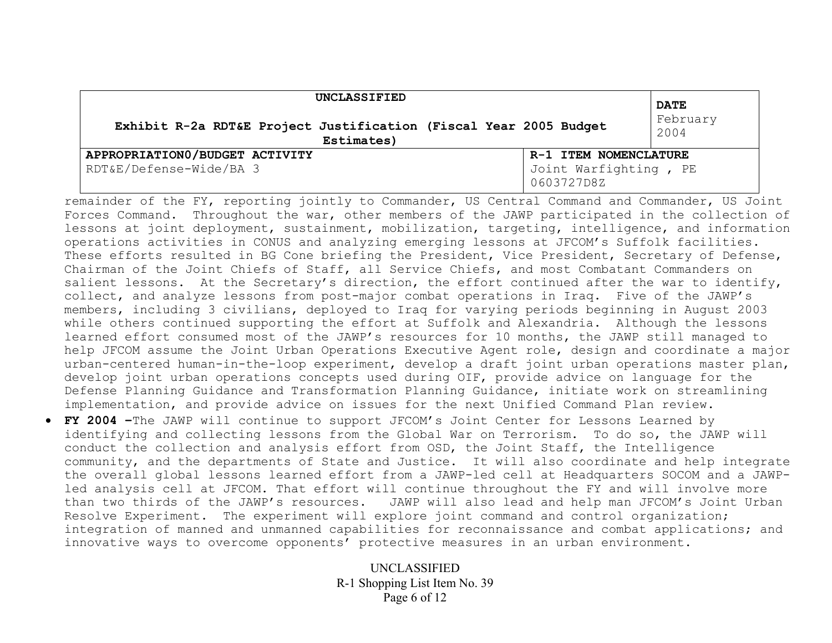| UNCLASSIFIED                                                                    | <b>DATE</b>                                                  |                  |
|---------------------------------------------------------------------------------|--------------------------------------------------------------|------------------|
| Exhibit R-2a RDT&E Project Justification (Fiscal Year 2005 Budget<br>Estimates) |                                                              | February<br>2004 |
| APPROPRIATION0/BUDGET ACTIVITY<br>RDT&E/Defense-Wide/BA 3                       | R-1 ITEM NOMENCLATURE<br>Joint Warfighting, PE<br>0603727D8Z |                  |

remainder of the FY, reporting jointly to Commander, US Central Command and Commander, US Joint Forces Command. Throughout the war, other members of the JAWP participated in the collection of lessons at joint deployment, sustainment, mobilization, targeting, intelligence, and information operations activities in CONUS and analyzing emerging lessons at JFCOM's Suffolk facilities. These efforts resulted in BG Cone briefing the President, Vice President, Secretary of Defense, Chairman of the Joint Chiefs of Staff, all Service Chiefs, and most Combatant Commanders on salient lessons. At the Secretary's direction, the effort continued after the war to identify, collect, and analyze lessons from post-major combat operations in Iraq. Five of the JAWP's members, including 3 civilians, deployed to Iraq for varying periods beginning in August 2003 while others continued supporting the effort at Suffolk and Alexandria. Although the lessons learned effort consumed most of the JAWP's resources for 10 months, the JAWP still managed to help JFCOM assume the Joint Urban Operations Executive Agent role, design and coordinate a major urban-centered human-in-the-loop experiment, develop a draft joint urban operations master plan, develop joint urban operations concepts used during OIF, provide advice on language for the Defense Planning Guidance and Transformation Planning Guidance, initiate work on streamlining implementation, and provide advice on issues for the next Unified Command Plan review.

• **FY 2004 –**The JAWP will continue to support JFCOM's Joint Center for Lessons Learned by identifying and collecting lessons from the Global War on Terrorism. To do so, the JAWP will conduct the collection and analysis effort from OSD, the Joint Staff, the Intelligence community, and the departments of State and Justice. It will also coordinate and help integrate the overall global lessons learned effort from a JAWP-led cell at Headquarters SOCOM and a JAWPled analysis cell at JFCOM. That effort will continue throughout the FY and will involve more than two thirds of the JAWP's resources. JAWP will also lead and help man JFCOM's Joint Urban Resolve Experiment. The experiment will explore joint command and control organization; integration of manned and unmanned capabilities for reconnaissance and combat applications; and innovative ways to overcome opponents' protective measures in an urban environment.

> UNCLASSIFIED R-1 Shopping List Item No. 39 Page 6 of 12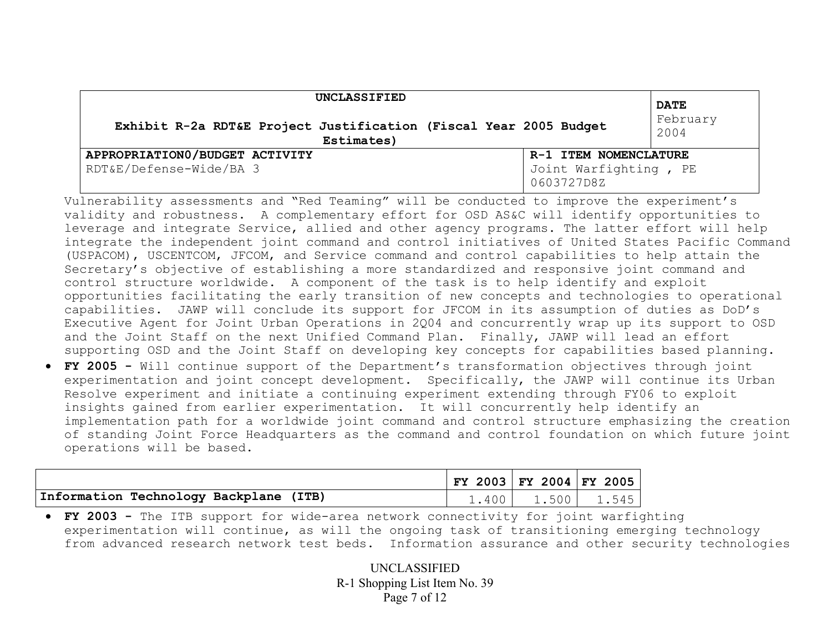| UNCLASSIFIED                                                                    | <b>DATE</b>                                                  |                  |
|---------------------------------------------------------------------------------|--------------------------------------------------------------|------------------|
| Exhibit R-2a RDT&E Project Justification (Fiscal Year 2005 Budget<br>Estimates) |                                                              | February<br>2004 |
| APPROPRIATION0/BUDGET ACTIVITY<br>RDT&E/Defense-Wide/BA 3                       | R-1 ITEM NOMENCLATURE<br>Joint Warfighting, PE<br>0603727D8Z |                  |

Vulnerability assessments and "Red Teaming" will be conducted to improve the experiment's validity and robustness. A complementary effort for OSD AS&C will identify opportunities to leverage and integrate Service, allied and other agency programs. The latter effort will help integrate the independent joint command and control initiatives of United States Pacific Command (USPACOM), USCENTCOM, JFCOM, and Service command and control capabilities to help attain the Secretary's objective of establishing a more standardized and responsive joint command and control structure worldwide. A component of the task is to help identify and exploit opportunities facilitating the early transition of new concepts and technologies to operational capabilities. JAWP will conclude its support for JFCOM in its assumption of duties as DoD's Executive Agent for Joint Urban Operations in 2Q04 and concurrently wrap up its support to OSD and the Joint Staff on the next Unified Command Plan. Finally, JAWP will lead an effort supporting OSD and the Joint Staff on developing key concepts for capabilities based planning. • **FY 2005 -** Will continue support of the Department's transformation objectives through joint experimentation and joint concept development. Specifically, the JAWP will continue its Urban Resolve experiment and initiate a continuing experiment extending through FY06 to exploit insights gained from earlier experimentation. It will concurrently help identify an implementation path for a worldwide joint command and control structure emphasizing the creation of standing Joint Force Headquarters as the command and control foundation on which future joint operations will be based.

|                                        | FY 2003   FY 2004   FY 2005 |                         |  |
|----------------------------------------|-----------------------------|-------------------------|--|
| Information Technology Backplane (ITB) |                             | $1.400$   1.500   1.545 |  |

• **FY 2003 -** The ITB support for wide-area network connectivity for joint warfighting experimentation will continue, as will the ongoing task of transitioning emerging technology from advanced research network test beds. Information assurance and other security technologies

> UNCLASSIFIED R-1 Shopping List Item No. 39 Page 7 of 12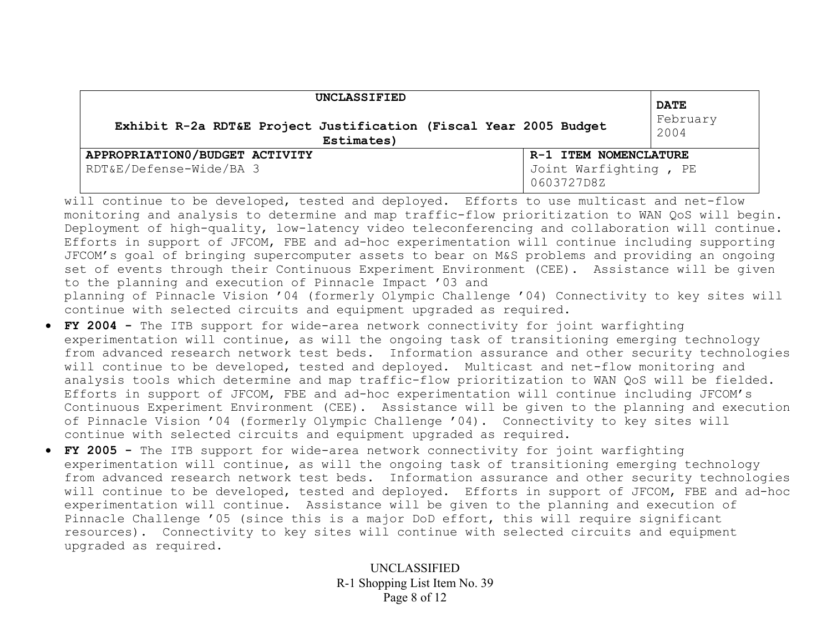| UNCLASSIFIED                                                                    |                                                              | <b>DATE</b>      |
|---------------------------------------------------------------------------------|--------------------------------------------------------------|------------------|
| Exhibit R-2a RDT&E Project Justification (Fiscal Year 2005 Budget<br>Estimates) |                                                              | February<br>2004 |
| APPROPRIATION0/BUDGET ACTIVITY<br>RDT&E/Defense-Wide/BA 3                       | R-1 ITEM NOMENCLATURE<br>Joint Warfighting, PE<br>0603727D8Z |                  |

will continue to be developed, tested and deployed. Efforts to use multicast and net-flow monitoring and analysis to determine and map traffic-flow prioritization to WAN QoS will begin. Deployment of high-quality, low-latency video teleconferencing and collaboration will continue. Efforts in support of JFCOM, FBE and ad-hoc experimentation will continue including supporting JFCOM's goal of bringing supercomputer assets to bear on M&S problems and providing an ongoing set of events through their Continuous Experiment Environment (CEE). Assistance will be given to the planning and execution of Pinnacle Impact '03 and planning of Pinnacle Vision '04 (formerly Olympic Challenge '04) Connectivity to key sites will continue with selected circuits and equipment upgraded as required.

- **FY 2004** The ITB support for wide-area network connectivity for joint warfighting experimentation will continue, as will the ongoing task of transitioning emerging technology from advanced research network test beds. Information assurance and other security technologies will continue to be developed, tested and deployed. Multicast and net-flow monitoring and analysis tools which determine and map traffic-flow prioritization to WAN QoS will be fielded. Efforts in support of JFCOM, FBE and ad-hoc experimentation will continue including JFCOM's Continuous Experiment Environment (CEE). Assistance will be given to the planning and execution of Pinnacle Vision '04 (formerly Olympic Challenge '04). Connectivity to key sites will continue with selected circuits and equipment upgraded as required.
- **FY 2005** The ITB support for wide-area network connectivity for joint warfighting experimentation will continue, as will the ongoing task of transitioning emerging technology from advanced research network test beds. Information assurance and other security technologies will continue to be developed, tested and deployed. Efforts in support of JFCOM, FBE and ad-hoc experimentation will continue. Assistance will be given to the planning and execution of Pinnacle Challenge '05 (since this is a major DoD effort, this will require significant resources). Connectivity to key sites will continue with selected circuits and equipment upgraded as required.

UNCLASSIFIED R-1 Shopping List Item No. 39 Page 8 of 12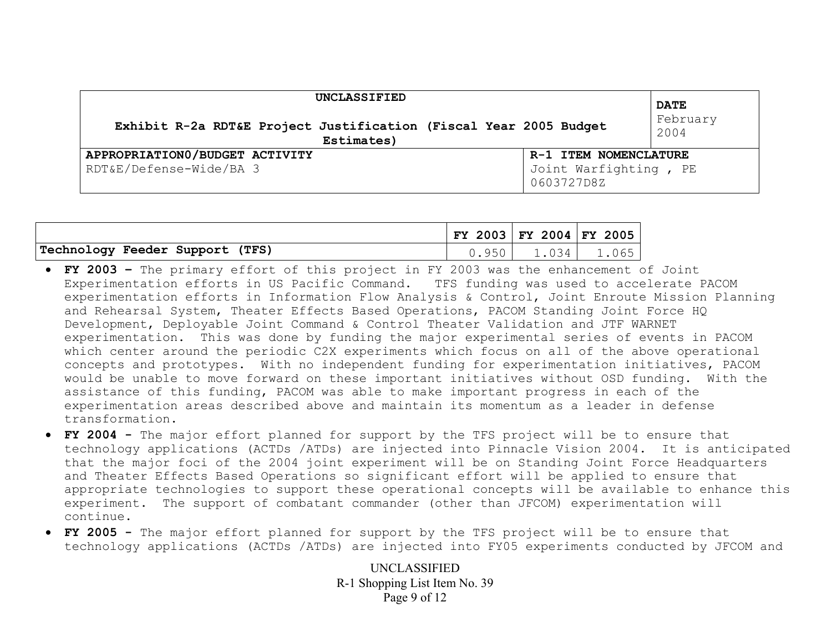| UNCLASSIFIED                                                                    |                                                              | <b>DATE</b>      |
|---------------------------------------------------------------------------------|--------------------------------------------------------------|------------------|
| Exhibit R-2a RDT&E Project Justification (Fiscal Year 2005 Budget<br>Estimates) |                                                              | February<br>2004 |
| APPROPRIATION0/BUDGET ACTIVITY<br>RDT&E/Defense-Wide/BA 3                       | R-1 ITEM NOMENCLATURE<br>Joint Warfighting, PE<br>0603727D8Z |                  |

|                                 |             | $FY$ 2003 FY 2004 FY 2005 |       |
|---------------------------------|-------------|---------------------------|-------|
| Technology Feeder Support (TFS) | $QF \cap I$ | 1.034                     | 1.065 |

- **FY 2003** The primary effort of this project in FY 2003 was the enhancement of Joint Experimentation efforts in US Pacific Command. TFS funding was used to accelerate PACOM experimentation efforts in Information Flow Analysis & Control, Joint Enroute Mission Planning and Rehearsal System, Theater Effects Based Operations, PACOM Standing Joint Force HQ Development, Deployable Joint Command & Control Theater Validation and JTF WARNET experimentation. This was done by funding the major experimental series of events in PACOM which center around the periodic C2X experiments which focus on all of the above operational concepts and prototypes. With no independent funding for experimentation initiatives, PACOM would be unable to move forward on these important initiatives without OSD funding. With the assistance of this funding, PACOM was able to make important progress in each of the experimentation areas described above and maintain its momentum as a leader in defense transformation.
- **FY 2004** The major effort planned for support by the TFS project will be to ensure that technology applications (ACTDs /ATDs) are injected into Pinnacle Vision 2004. It is anticipated that the major foci of the 2004 joint experiment will be on Standing Joint Force Headquarters and Theater Effects Based Operations so significant effort will be applied to ensure that appropriate technologies to support these operational concepts will be available to enhance this experiment. The support of combatant commander (other than JFCOM) experimentation will continue.
- **FY 2005** The major effort planned for support by the TFS project will be to ensure that technology applications (ACTDs /ATDs) are injected into FY05 experiments conducted by JFCOM and

UNCLASSIFIED R-1 Shopping List Item No. 39 Page 9 of 12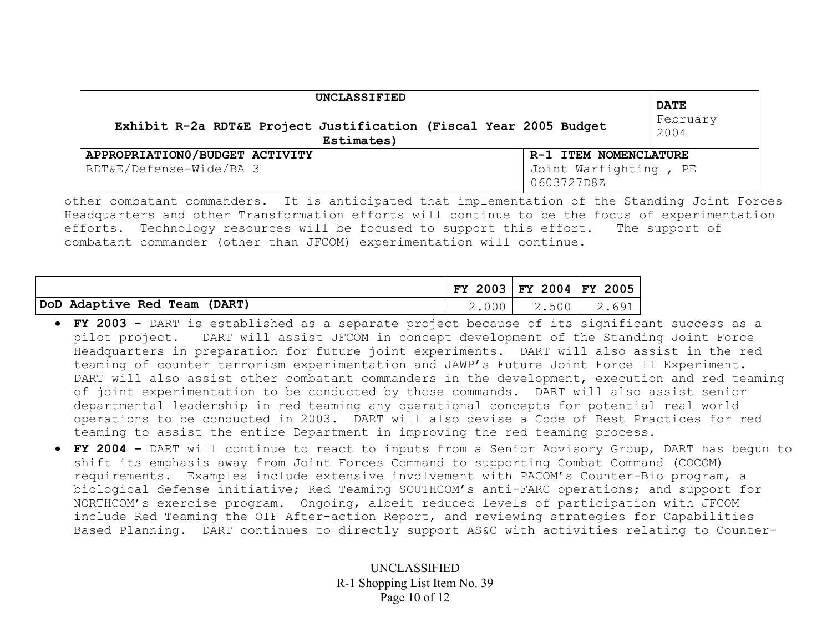| UNCLASSIFIED                                                                    |                                                              | <b>DATE</b>      |
|---------------------------------------------------------------------------------|--------------------------------------------------------------|------------------|
| Exhibit R-2a RDT&E Project Justification (Fiscal Year 2005 Budget<br>Estimates) |                                                              | February<br>2004 |
| APPROPRIATION0/BUDGET ACTIVITY<br>RDT&E/Defense-Wide/BA 3                       | R-1 ITEM NOMENCLATURE<br>Joint Warfighting, PE<br>0603727D8Z |                  |

other combatant commanders. It is anticipated that implementation of the Standing Joint Forces Headquarters and other Transformation efforts will continue to be the focus of experimentation efforts. Technology resources will be focused to support this effort. The support of combatant commander (other than JFCOM) experimentation will continue.

|                              | FY 2003 FY 2004 FY 2005 |                   |  |
|------------------------------|-------------------------|-------------------|--|
| DoD Adaptive Red Team (DART) |                         | 2.000 2.500 2.691 |  |

- **FY 2003** DART is established as a separate project because of its significant success as a pilot project. DART will assist JFCOM in concept development of the Standing Joint Force Headquarters in preparation for future joint experiments. DART will also assist in the red teaming of counter terrorism experimentation and JAWP's Future Joint Force II Experiment. DART will also assist other combatant commanders in the development, execution and red teaming of joint experimentation to be conducted by those commands. DART will also assist senior departmental leadership in red teaming any operational concepts for potential real world operations to be conducted in 2003. DART will also devise a Code of Best Practices for red teaming to assist the entire Department in improving the red teaming process.
- **FY 2004** DART will continue to react to inputs from a Senior Advisory Group, DART has begun to shift its emphasis away from Joint Forces Command to supporting Combat Command (COCOM) requirements. Examples include extensive involvement with PACOM's Counter-Bio program, a biological defense initiative; Red Teaming SOUTHCOM's anti-FARC operations; and support for NORTHCOM's exercise program. Ongoing, albeit reduced levels of participation with JFCOM include Red Teaming the OIF After-action Report, and reviewing strategies for Capabilities Based Planning. DART continues to directly support AS&C with activities relating to Counter-

UNCLASSIFIED R-1 Shopping List Item No. 39 Page 10 of 12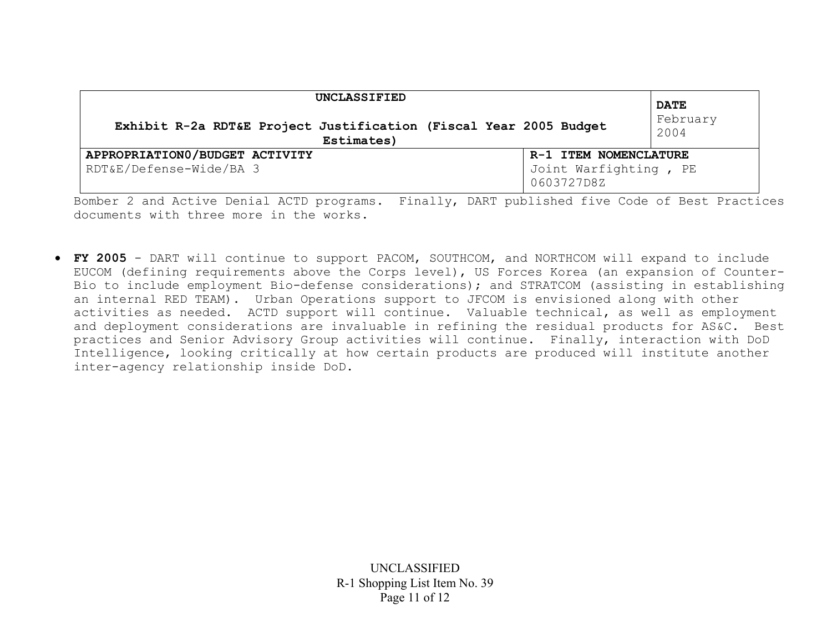| UNCLASSIFIED<br>Exhibit R-2a RDT&E Project Justification (Fiscal Year 2005 Budget<br>Estimates) |                                                              | <b>DATE</b><br>February<br>2004 |
|-------------------------------------------------------------------------------------------------|--------------------------------------------------------------|---------------------------------|
| APPROPRIATION0/BUDGET ACTIVITY<br>RDT&E/Defense-Wide/BA 3                                       | R-1 ITEM NOMENCLATURE<br>Joint Warfighting, PE<br>0603727D8Z |                                 |

Bomber 2 and Active Denial ACTD programs. Finally, DART published five Code of Best Practices documents with three more in the works.

• **FY 2005** - DART will continue to support PACOM, SOUTHCOM, and NORTHCOM will expand to include EUCOM (defining requirements above the Corps level), US Forces Korea (an expansion of Counter-Bio to include employment Bio-defense considerations); and STRATCOM (assisting in establishing an internal RED TEAM). Urban Operations support to JFCOM is envisioned along with other activities as needed. ACTD support will continue. Valuable technical, as well as employment and deployment considerations are invaluable in refining the residual products for AS&C. Best practices and Senior Advisory Group activities will continue. Finally, interaction with DoD Intelligence, looking critically at how certain products are produced will institute another inter-agency relationship inside DoD.